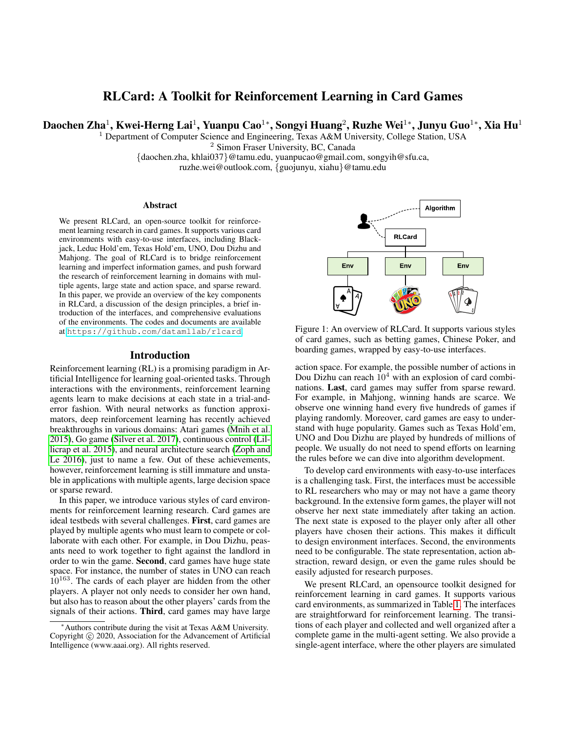# RLCard: A Toolkit for Reinforcement Learning in Card Games

Daochen Zha $^1$ , Kwei-Herng Lai $^1$ , Yuanpu Cao $^{1*}$ , Songyi Huang $^2$ , Ruzhe Wei $^{1*}$ , Junyu Guo $^{1*}$ , Xia Hu $^1$ 

<sup>1</sup> Department of Computer Science and Engineering, Texas A&M University, College Station, USA

<sup>2</sup> Simon Fraser University, BC, Canada

{daochen.zha, khlai037}@tamu.edu, yuanpucao@gmail.com, songyih@sfu.ca,

ruzhe.wei@outlook.com, {guojunyu, xiahu}@tamu.edu

#### Abstract

We present RLCard, an open-source toolkit for reinforcement learning research in card games. It supports various card environments with easy-to-use interfaces, including Blackjack, Leduc Hold'em, Texas Hold'em, UNO, Dou Dizhu and Mahjong. The goal of RLCard is to bridge reinforcement learning and imperfect information games, and push forward the research of reinforcement learning in domains with multiple agents, large state and action space, and sparse reward. In this paper, we provide an overview of the key components in RLCard, a discussion of the design principles, a brief introduction of the interfaces, and comprehensive evaluations of the environments. The codes and documents are available at <https://github.com/datamllab/rlcard>.

#### Introduction

Reinforcement learning (RL) is a promising paradigm in Artificial Intelligence for learning goal-oriented tasks. Through interactions with the environments, reinforcement learning agents learn to make decisions at each state in a trial-anderror fashion. With neural networks as function approximators, deep reinforcement learning has recently achieved breakthroughs in various domains: Atari games [\(Mnih et al.](#page-4-0) [2015\)](#page-4-0), Go game [\(Silver et al. 2017\)](#page-4-1), continuous control [\(Lil](#page-4-2)[licrap et al. 2015\)](#page-4-2), and neural architecture search [\(Zoph and](#page-5-0) [Le 2016\)](#page-5-0), just to name a few. Out of these achievements, however, reinforcement learning is still immature and unstable in applications with multiple agents, large decision space or sparse reward. Learning and insepting the speake and spating and mediatory and mediatory and the spating of the spating the spating in the control of the spating in the reserved. In the reserved as overvise of the lights reserved. In th

In this paper, we introduce various styles of card environments for reinforcement learning research. Card games are ideal testbeds with several challenges. First, card games are played by multiple agents who must learn to compete or collaborate with each other. For example, in Dou Dizhu, peasants need to work together to fight against the landlord in order to win the game. Second, card games have huge state space. For instance, the number of states in UNO can reach  $10^{163}$ . The cards of each player are hidden from the other players. A player not only needs to consider her own hand, but also has to reason about the other players' cards from the signals of their actions. Third, card games may have large



Figure 1: An overview of RLCard. It supports various styles of card games, such as betting games, Chinese Poker, and boarding games, wrapped by easy-to-use interfaces.

action space. For example, the possible number of actions in Dou Dizhu can reach  $10<sup>4</sup>$  with an explosion of card combinations. Last, card games may suffer from sparse reward. For example, in Mahjong, winning hands are scarce. We observe one winning hand every five hundreds of games if playing randomly. Moreover, card games are easy to understand with huge popularity. Games such as Texas Hold'em, UNO and Dou Dizhu are played by hundreds of millions of people. We usually do not need to spend efforts on learning the rules before we can dive into algorithm development.

To develop card environments with easy-to-use interfaces is a challenging task. First, the interfaces must be accessible to RL researchers who may or may not have a game theory background. In the extensive form games, the player will not observe her next state immediately after taking an action. The next state is exposed to the player only after all other players have chosen their actions. This makes it difficult to design environment interfaces. Second, the environments need to be configurable. The state representation, action abstraction, reward design, or even the game rules should be easily adjusted for research purposes.

We present RLCard, an opensource toolkit designed for reinforcement learning in card games. It supports various card environments, as summarized in Table [1.](#page-1-0) The interfaces are straightforward for reinforcement learning. The transitions of each player and collected and well organized after a complete game in the multi-agent setting. We also provide a single-agent interface, where the other players are simulated

<sup>∗</sup>Authors contribute during the visit at Texas A&M University. Copyright (c) 2020, Association for the Advancement of Artificial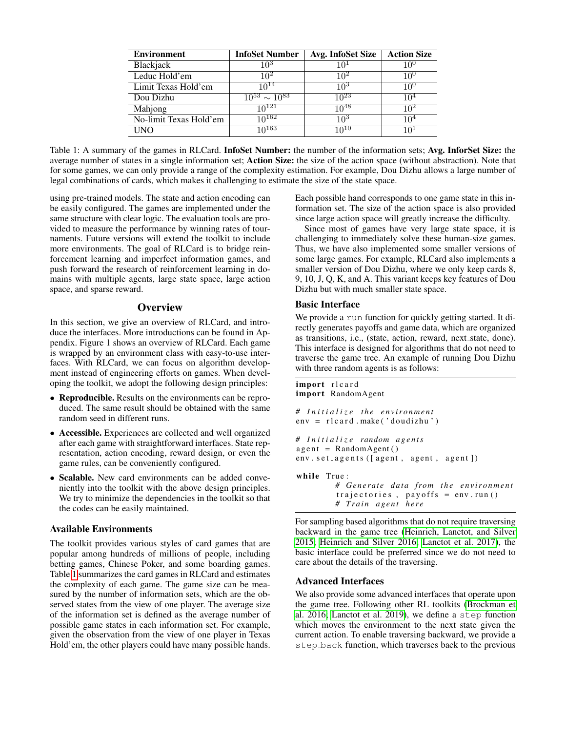<span id="page-1-0"></span>

| <b>Environment</b>     | <b>InfoSet Number</b>  | Avg. InfoSet Size | <b>Action Size</b> |
|------------------------|------------------------|-------------------|--------------------|
| Blackjack              | 105                    | 10′               | 10 <sup>6</sup>    |
| Leduc Hold'em          | 102                    | 102               | 10°                |
| Limit Texas Hold'em    | $10^{14}$              | 109               | 1∩∪                |
| Dou Dizhu              | $10^{53} \sim 10^{83}$ | $10^{23}$         | 104                |
| Mahjong                | $10^{121}$             | $10^{48}$         | 102                |
| No-limit Texas Hold'em | $10^{162}$             | 10 <sup>3</sup>   | 104                |
| <b>INO</b>             | $10^{163}$             | $10^{10}$         |                    |

Table 1: A summary of the games in RLCard. InfoSet Number: the number of the information sets; Avg. InforSet Size: the average number of states in a single information set; Action Size: the size of the action space (without abstraction). Note that for some games, we can only provide a range of the complexity estimation. For example, Dou Dizhu allows a large number of legal combinations of cards, which makes it challenging to estimate the size of the state space.

using pre-trained models. The state and action encoding can be easily configured. The games are implemented under the same structure with clear logic. The evaluation tools are provided to measure the performance by winning rates of tournaments. Future versions will extend the toolkit to include more environments. The goal of RLCard is to bridge reinforcement learning and imperfect information games, and push forward the research of reinforcement learning in domains with multiple agents, large state space, large action space, and sparse reward.

#### **Overview**

In this section, we give an overview of RLCard, and introduce the interfaces. More introductions can be found in Appendix. Figure 1 shows an overview of RLCard. Each game is wrapped by an environment class with easy-to-use interfaces. With RLCard, we can focus on algorithm development instead of engineering efforts on games. When developing the toolkit, we adopt the following design principles:

- Reproducible. Results on the environments can be reproduced. The same result should be obtained with the same random seed in different runs.
- Accessible. Experiences are collected and well organized after each game with straightforward interfaces. State representation, action encoding, reward design, or even the game rules, can be conveniently configured.
- Scalable. New card environments can be added conveniently into the toolkit with the above design principles. We try to minimize the dependencies in the toolkit so that the codes can be easily maintained.

#### Available Environments

The toolkit provides various styles of card games that are popular among hundreds of millions of people, including betting games, Chinese Poker, and some boarding games. Table [1](#page-1-0) summarizes the card games in RLCard and estimates the complexity of each game. The game size can be measured by the number of information sets, which are the observed states from the view of one player. The average size of the information set is defined as the average number of possible game states in each information set. For example, given the observation from the view of one player in Texas Hold'em, the other players could have many possible hands.

Each possible hand corresponds to one game state in this information set. The size of the action space is also provided since large action space will greatly increase the difficulty.

Since most of games have very large state space, it is challenging to immediately solve these human-size games. Thus, we have also implemented some smaller versions of some large games. For example, RLCard also implements a smaller version of Dou Dizhu, where we only keep cards 8, 9, 10, J, Q, K, and A. This variant keeps key features of Dou Dizhu but with much smaller state space.

### Basic Interface

We provide a run function for quickly getting started. It directly generates payoffs and game data, which are organized as transitions, i.e., (state, action, reward, next state, done). This interface is designed for algorithms that do not need to traverse the game tree. An example of running Dou Dizhu with three random agents is as follows:

```
import rlcard
import RandomAgent
# I n i t i a l i z e t h e e n vi r o n m e nt
env = r1c and . make ('doudizhu')
# I n i t i a l i z e random a g e n t s
agent = RandomAgent()env. set_agents ([agent, agent, agent])
while True:
         # G e n e r at e d at a f r om t h e e n vi r o n m e nt
          trajectories, payoffs = env.run()# T r ai n a g e nt h e r e
```
For sampling based algorithms that do not require traversing backward in the game tree [\(Heinrich, Lanctot, and Silver](#page-4-3) [2015;](#page-4-3) [Heinrich and Silver 2016;](#page-4-4) [Lanctot et al. 2017\)](#page-4-5), the basic interface could be preferred since we do not need to care about the details of the traversing.

## Advanced Interfaces

We also provide some advanced interfaces that operate upon the game tree. Following other RL toolkits [\(Brockman et](#page-4-6) [al. 2016;](#page-4-6) [Lanctot et al. 2019\)](#page-4-7), we define a step function which moves the environment to the next state given the current action. To enable traversing backward, we provide a step back function, which traverses back to the previous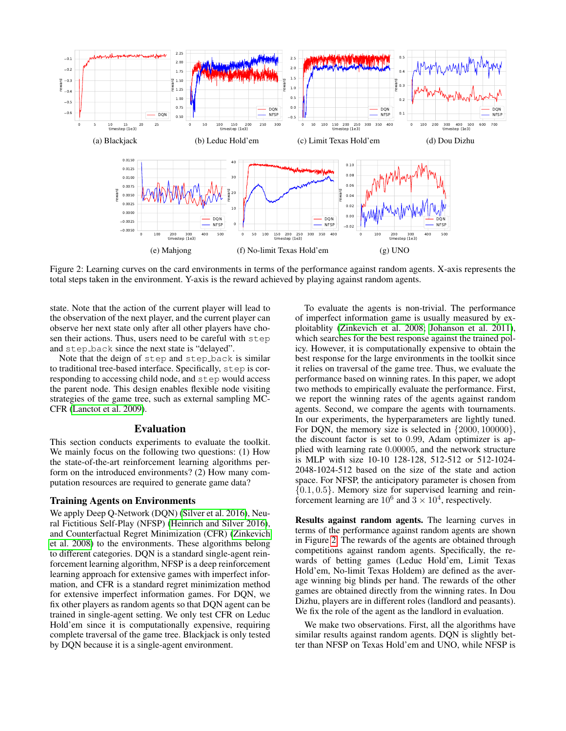<span id="page-2-0"></span>

Figure 2: Learning curves on the card environments in terms of the performance against random agents. X-axis represents the total steps taken in the environment. Y-axis is the reward achieved by playing against random agents.

state. Note that the action of the current player will lead to the observation of the next player, and the current player can observe her next state only after all other players have chosen their actions. Thus, users need to be careful with step and step back since the next state is "delayed".

Note that the deign of step and step back is similar to traditional tree-based interface. Specifically, step is corresponding to accessing child node, and step would access the parent node. This design enables flexible node visiting strategies of the game tree, such as external sampling MC-CFR [\(Lanctot et al. 2009\)](#page-4-8).

#### Evaluation

This section conducts experiments to evaluate the toolkit. We mainly focus on the following two questions: (1) How the state-of-the-art reinforcement learning algorithms perform on the introduced environments? (2) How many computation resources are required to generate game data?

#### Training Agents on Environments

We apply Deep Q-Network (DQN) [\(Silver et al. 2016\)](#page-4-9), Neural Fictitious Self-Play (NFSP) [\(Heinrich and Silver 2016\)](#page-4-4), and Counterfactual Regret Minimization (CFR) [\(Zinkevich](#page-4-10) [et al. 2008\)](#page-4-10) to the environments. These algorithms belong to different categories. DQN is a standard single-agent reinforcement learning algorithm, NFSP is a deep reinforcement learning approach for extensive games with imperfect information, and CFR is a standard regret minimization method for extensive imperfect information games. For DQN, we fix other players as random agents so that DQN agent can be trained in single-agent setting. We only test CFR on Leduc Hold'em since it is computationally expensive, requiring complete traversal of the game tree. Blackjack is only tested by DQN because it is a single-agent environment.

To evaluate the agents is non-trivial. The performance of imperfect information game is usually measured by exploitablity [\(Zinkevich et al. 2008;](#page-4-10) [Johanson et al. 2011\)](#page-4-11), which searches for the best response against the trained policy. However, it is computationally expensive to obtain the best response for the large environments in the toolkit since it relies on traversal of the game tree. Thus, we evaluate the performance based on winning rates. In this paper, we adopt two methods to empirically evaluate the performance. First, we report the winning rates of the agents against random agents. Second, we compare the agents with tournaments. In our experiments, the hyperparameters are lightly tuned. For DQN, the memory size is selected in {2000, 100000}, the discount factor is set to 0.99, Adam optimizer is applied with learning rate 0.00005, and the network structure is MLP with size 10-10 128-128, 512-512 or 512-1024- 2048-1024-512 based on the size of the state and action space. For NFSP, the anticipatory parameter is chosen from  ${0.1, 0.5}$ . Memory size for supervised learning and reinforcement learning are  $10^6$  and  $3 \times 10^4$ , respectively.

Results against random agents. The learning curves in terms of the performance against random agents are shown in Figure [2.](#page-2-0) The rewards of the agents are obtained through competitions against random agents. Specifically, the rewards of betting games (Leduc Hold'em, Limit Texas Hold'em, No-limit Texas Holdem) are defined as the average winning big blinds per hand. The rewards of the other games are obtained directly from the winning rates. In Dou Dizhu, players are in different roles (landlord and peasants). We fix the role of the agent as the landlord in evaluation.

We make two observations. First, all the algorithms have similar results against random agents. DQN is slightly better than NFSP on Texas Hold'em and UNO, while NFSP is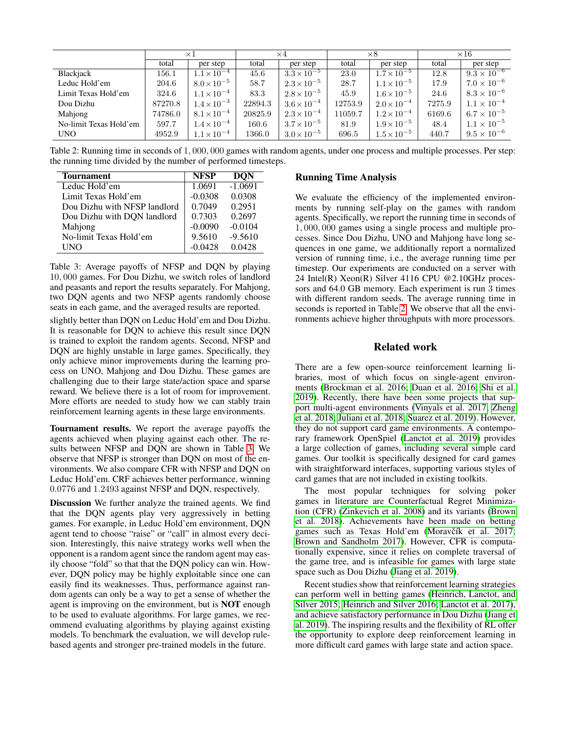<span id="page-3-1"></span>

|                        | $\times 1$ |                      | $\times 4$ |                      | $\times 8$ |                      | $\times 16$ |                      |
|------------------------|------------|----------------------|------------|----------------------|------------|----------------------|-------------|----------------------|
|                        | total      | per step             | total      | per step             | total      | per step             | total       | per step             |
| Blackjack              | 156.1      | $1.1 \times 10^{-4}$ | 45.6       | $3.3 \times 10^{-5}$ | 23.0       | $1.7 \times 10^{-5}$ | 12.8        | $9.3 \times 10^{-6}$ |
| Leduc Hold'em          | 204.6      | $8.0 \times 10^{-5}$ | 58.7       | $2.3 \times 10^{-5}$ | 28.7       | $1.1 \times 10^{-5}$ | 17.9        | $7.0 \times 10^{-6}$ |
| Limit Texas Hold'em    | 324.6      | $1.1 \times 10^{-4}$ | 83.3       | $2.8 \times 10^{-5}$ | 45.9       | $1.6 \times 10^{-5}$ | 24.6        | $8.3 \times 10^{-6}$ |
| Dou Dizhu              | 87270.8    | $1.4 \times 10^{-3}$ | 22894.3    | $3.6 \times 10^{-4}$ | 12753.9    | $2.0 \times 10^{-4}$ | 7275.9      | $1.1 \times 10^{-4}$ |
| Mahjong                | 74786.0    | $8.1 \times 10^{-4}$ | 20825.9    | $2.3 \times 10^{-4}$ | 11059.7    | $1.2 \times 10^{-4}$ | 6169.6      | $6.7\times10^{-5}$   |
| No-limit Texas Hold'em | 597.7      | $1.4 \times 10^{-4}$ | 160.6      | $3.7 \times 10^{-5}$ | 81.9       | $1.9 \times 10^{-5}$ | 48.4        | $1.1 \times 10^{-5}$ |
| <b>UNO</b>             | 4952.9     | $1.1 \times 10^{-4}$ | 1366.0     | $3.0 \times 10^{-5}$ | 696.5      | $1.5 \times 10^{-5}$ | 440.7       | $9.5 \times 10^{-6}$ |

Table 2: Running time in seconds of 1, 000, 000 games with random agents, under one process and multiple processes. Per step: the running time divided by the number of performed timesteps.

<span id="page-3-0"></span>

| <b>Tournament</b>            | <b>NFSP</b> | <b>DON</b> |
|------------------------------|-------------|------------|
| Leduc Hold'em                | 1.0691      | $-1.0691$  |
| Limit Texas Hold'em          | $-0.0308$   | 0.0308     |
| Dou Dizhu with NFSP landlord | 0.7049      | 0.2951     |
| Dou Dizhu with DQN landlord  | 0.7303      | 0.2697     |
| Mahjong                      | $-0.0090$   | $-0.0104$  |
| No-limit Texas Hold'em       | 9.5610      | $-9.5610$  |
| <b>INO</b>                   | -0.0428     | 0.0428     |

Table 3: Average payoffs of NFSP and DQN by playing 10, 000 games. For Dou Dizhu, we switch roles of landlord and peasants and report the results separately. For Mahjong, two DQN agents and two NFSP agents randomly choose seats in each game, and the averaged results are reported.

slightly better than DQN on Leduc Hold'em and Dou Dizhu. It is reasonable for DQN to achieve this result since DQN is trained to exploit the random agents. Second, NFSP and DQN are highly unstable in large games. Specifically, they only achieve minor improvements during the learning process on UNO, Mahjong and Dou Dizhu. These games are challenging due to their large state/action space and sparse reward. We believe there is a lot of room for improvement. More efforts are needed to study how we can stably train reinforcement learning agents in these large environments.

Tournament results. We report the average payoffs the agents achieved when playing against each other. The results between NFSP and DQN are shown in Table [3.](#page-3-0) We observe that NFSP is stronger than DQN on most of the environments. We also compare CFR with NFSP and DQN on Leduc Hold'em. CRF achieves better performance, winning 0.0776 and 1.2493 against NFSP and DQN, respectively.

Discussion We further analyze the trained agents. We find that the DQN agents play very aggressively in betting games. For example, in Leduc Hold'em environment, DQN agent tend to choose "raise" or "call" in almost every decision. Interestingly, this naive strategy works well when the opponent is a random agent since the random agent may easily choose "fold" so that that the DQN policy can win. However, DQN policy may be highly exploitable since one can easily find its weaknesses. Thus, performance against random agents can only be a way to get a sense of whether the agent is improving on the environment, but is NOT enough to be used to evaluate algorithms. For large games, we recommend evaluating algorithms by playing against existing models. To benchmark the evaluation, we will develop rulebased agents and stronger pre-trained models in the future.

### Running Time Analysis

We evaluate the efficiency of the implemented environments by running self-play on the games with random agents. Specifically, we report the running time in seconds of 1, 000, 000 games using a single process and multiple processes. Since Dou Dizhu, UNO and Mahjong have long sequences in one game, we additionally report a normalized version of running time, i.e., the average running time per timestep. Our experiments are conducted on a server with 24 Intel(R) Xeon(R) Silver 4116 CPU @2.10GHz processors and 64.0 GB memory. Each experiment is run  $\overline{3}$  times with different random seeds. The average running time in seconds is reported in Table [2.](#page-3-1) We observe that all the environments achieve higher throughputs with more processors.

# Related work

There are a few open-source reinforcement learning libraries, most of which focus on single-agent environments [\(Brockman et al. 2016;](#page-4-6) [Duan et al. 2016;](#page-4-12) [Shi et al.](#page-4-13) [2019\)](#page-4-13). Recently, there have been some projects that support multi-agent environments [\(Vinyals et al. 2017;](#page-4-14) [Zheng](#page-4-15) [et al. 2018;](#page-4-15) [Juliani et al. 2018;](#page-4-16) [Suarez et al. 2019\)](#page-4-17). However, they do not support card game environments. A contemporary framework OpenSpiel [\(Lanctot et al. 2019\)](#page-4-7) provides a large collection of games, including several simple card games. Our toolkit is specifically designed for card games with straightforward interfaces, supporting various styles of card games that are not included in existing toolkits.

The most popular techniques for solving poker games in literature are Counterfactual Regret Minimization (CFR) [\(Zinkevich et al. 2008\)](#page-4-10) and its variants [\(Brown](#page-4-18) [et al. 2018\)](#page-4-18). Achievements have been made on betting games such as Texas Hold'em (Moravčík et al. 2017; [Brown and Sandholm 2017\)](#page-4-20). However, CFR is computationally expensive, since it relies on complete traversal of the game tree, and is infeasible for games with large state space such as Dou Dizhu [\(Jiang et al. 2019\)](#page-4-21).

Recent studies show that reinforcement learning strategies can perform well in betting games [\(Heinrich, Lanctot, and](#page-4-3) [Silver 2015;](#page-4-3) [Heinrich and Silver 2016;](#page-4-4) [Lanctot et al. 2017\)](#page-4-5), and achieve satisfactory performance in Dou Dizhu [\(Jiang et](#page-4-21) [al. 2019\)](#page-4-21). The inspiring results and the flexibility of RL offer the opportunity to explore deep reinforcement learning in more difficult card games with large state and action space.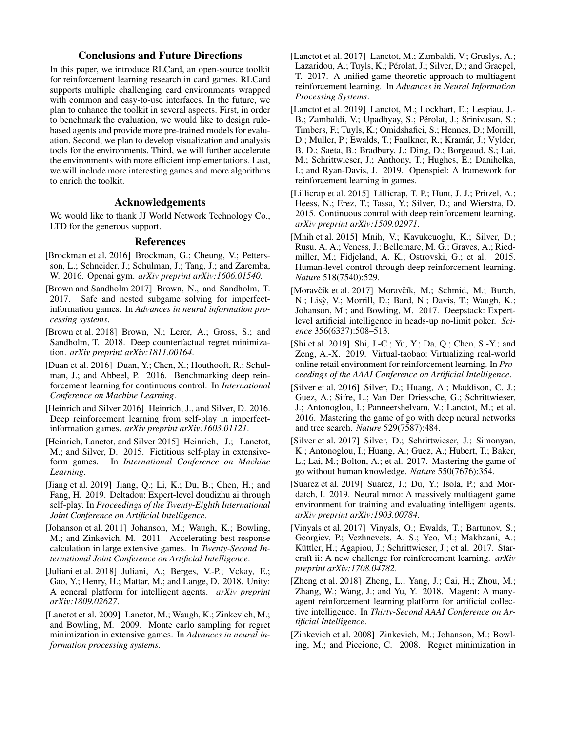# Conclusions and Future Directions

In this paper, we introduce RLCard, an open-source toolkit for reinforcement learning research in card games. RLCard supports multiple challenging card environments wrapped with common and easy-to-use interfaces. In the future, we plan to enhance the toolkit in several aspects. First, in order to benchmark the evaluation, we would like to design rulebased agents and provide more pre-trained models for evaluation. Second, we plan to develop visualization and analysis tools for the environments. Third, we will further accelerate the environments with more efficient implementations. Last, we will include more interesting games and more algorithms to enrich the toolkit.

### Acknowledgements

We would like to thank JJ World Network Technology Co., LTD for the generous support.

#### References

- <span id="page-4-6"></span>[Brockman et al. 2016] Brockman, G.; Cheung, V.; Pettersson, L.; Schneider, J.; Schulman, J.; Tang, J.; and Zaremba, W. 2016. Openai gym. *arXiv preprint arXiv:1606.01540*.
- <span id="page-4-20"></span>[Brown and Sandholm 2017] Brown, N., and Sandholm, T. 2017. Safe and nested subgame solving for imperfectinformation games. In *Advances in neural information processing systems*.
- <span id="page-4-18"></span>[Brown et al. 2018] Brown, N.; Lerer, A.; Gross, S.; and Sandholm, T. 2018. Deep counterfactual regret minimization. *arXiv preprint arXiv:1811.00164*.
- <span id="page-4-12"></span>[Duan et al. 2016] Duan, Y.; Chen, X.; Houthooft, R.; Schulman, J.; and Abbeel, P. 2016. Benchmarking deep reinforcement learning for continuous control. In *International Conference on Machine Learning*.
- <span id="page-4-4"></span>[Heinrich and Silver 2016] Heinrich, J., and Silver, D. 2016. Deep reinforcement learning from self-play in imperfectinformation games. *arXiv preprint arXiv:1603.01121*.
- <span id="page-4-3"></span>[Heinrich, Lanctot, and Silver 2015] Heinrich, J.; Lanctot, M.; and Silver, D. 2015. Fictitious self-play in extensiveform games. In *International Conference on Machine Learning*.
- <span id="page-4-21"></span>[Jiang et al. 2019] Jiang, Q.; Li, K.; Du, B.; Chen, H.; and Fang, H. 2019. Deltadou: Expert-level doudizhu ai through self-play. In *Proceedings of the Twenty-Eighth International Joint Conference on Artificial Intelligence*.
- <span id="page-4-11"></span>[Johanson et al. 2011] Johanson, M.; Waugh, K.; Bowling, M.; and Zinkevich, M. 2011. Accelerating best response calculation in large extensive games. In *Twenty-Second International Joint Conference on Artificial Intelligence*.
- <span id="page-4-16"></span>[Juliani et al. 2018] Juliani, A.; Berges, V.-P.; Vckay, E.; Gao, Y.; Henry, H.; Mattar, M.; and Lange, D. 2018. Unity: A general platform for intelligent agents. *arXiv preprint arXiv:1809.02627*.
- <span id="page-4-8"></span>[Lanctot et al. 2009] Lanctot, M.; Waugh, K.; Zinkevich, M.; and Bowling, M. 2009. Monte carlo sampling for regret minimization in extensive games. In *Advances in neural information processing systems*.

<span id="page-4-5"></span>[Lanctot et al. 2017] Lanctot, M.; Zambaldi, V.; Gruslys, A.; Lazaridou, A.; Tuyls, K.; Pérolat, J.; Silver, D.; and Graepel, T. 2017. A unified game-theoretic approach to multiagent reinforcement learning. In *Advances in Neural Information Processing Systems*.

<span id="page-4-7"></span>[Lanctot et al. 2019] Lanctot, M.; Lockhart, E.; Lespiau, J.- B.; Zambaldi, V.; Upadhyay, S.; Pérolat, J.; Srinivasan, S.; Timbers, F.; Tuyls, K.; Omidshafiei, S.; Hennes, D.; Morrill, D.; Muller, P.; Ewalds, T.; Faulkner, R.; Kramár, J.; Vylder, B. D.; Saeta, B.; Bradbury, J.; Ding, D.; Borgeaud, S.; Lai, M.; Schrittwieser, J.; Anthony, T.; Hughes, E.; Danihelka, I.; and Ryan-Davis, J. 2019. Openspiel: A framework for reinforcement learning in games.

- <span id="page-4-2"></span>[Lillicrap et al. 2015] Lillicrap, T. P.; Hunt, J. J.; Pritzel, A.; Heess, N.; Erez, T.; Tassa, Y.; Silver, D.; and Wierstra, D. 2015. Continuous control with deep reinforcement learning. *arXiv preprint arXiv:1509.02971*.
- <span id="page-4-0"></span>[Mnih et al. 2015] Mnih, V.; Kavukcuoglu, K.; Silver, D.; Rusu, A. A.; Veness, J.; Bellemare, M. G.; Graves, A.; Riedmiller, M.; Fidjeland, A. K.; Ostrovski, G.; et al. 2015. Human-level control through deep reinforcement learning. *Nature* 518(7540):529.
- <span id="page-4-19"></span>[Moravčík et al. 2017] Moravčík, M.; Schmid, M.; Burch, N.; Lisỳ, V.; Morrill, D.; Bard, N.; Davis, T.; Waugh, K.; Johanson, M.; and Bowling, M. 2017. Deepstack: Expertlevel artificial intelligence in heads-up no-limit poker. *Science* 356(6337):508–513.
- <span id="page-4-13"></span>[Shi et al. 2019] Shi, J.-C.; Yu, Y.; Da, Q.; Chen, S.-Y.; and Zeng, A.-X. 2019. Virtual-taobao: Virtualizing real-world online retail environment for reinforcement learning. In *Proceedings of the AAAI Conference on Artificial Intelligence*.
- <span id="page-4-9"></span>[Silver et al. 2016] Silver, D.; Huang, A.; Maddison, C. J.; Guez, A.; Sifre, L.; Van Den Driessche, G.; Schrittwieser, J.; Antonoglou, I.; Panneershelvam, V.; Lanctot, M.; et al. 2016. Mastering the game of go with deep neural networks and tree search. *Nature* 529(7587):484.
- <span id="page-4-1"></span>[Silver et al. 2017] Silver, D.; Schrittwieser, J.; Simonyan, K.; Antonoglou, I.; Huang, A.; Guez, A.; Hubert, T.; Baker, L.; Lai, M.; Bolton, A.; et al. 2017. Mastering the game of go without human knowledge. *Nature* 550(7676):354.
- <span id="page-4-17"></span>[Suarez et al. 2019] Suarez, J.; Du, Y.; Isola, P.; and Mordatch, I. 2019. Neural mmo: A massively multiagent game environment for training and evaluating intelligent agents. *arXiv preprint arXiv:1903.00784*.
- <span id="page-4-14"></span>[Vinyals et al. 2017] Vinyals, O.; Ewalds, T.; Bartunov, S.; Georgiev, P.; Vezhnevets, A. S.; Yeo, M.; Makhzani, A.; Küttler, H.; Agapiou, J.; Schrittwieser, J.; et al. 2017. Starcraft ii: A new challenge for reinforcement learning. *arXiv preprint arXiv:1708.04782*.
- <span id="page-4-15"></span>[Zheng et al. 2018] Zheng, L.; Yang, J.; Cai, H.; Zhou, M.; Zhang, W.; Wang, J.; and Yu, Y. 2018. Magent: A manyagent reinforcement learning platform for artificial collective intelligence. In *Thirty-Second AAAI Conference on Artificial Intelligence*.
- <span id="page-4-10"></span>[Zinkevich et al. 2008] Zinkevich, M.; Johanson, M.; Bowling, M.; and Piccione, C. 2008. Regret minimization in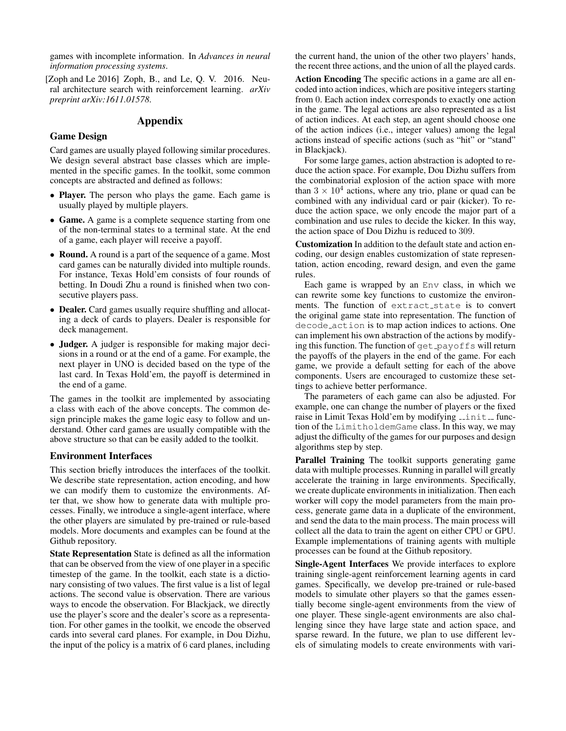games with incomplete information. In *Advances in neural information processing systems*.

<span id="page-5-0"></span>[Zoph and Le 2016] Zoph, B., and Le, Q. V. 2016. Neural architecture search with reinforcement learning. *arXiv preprint arXiv:1611.01578*.

# Appendix

### Game Design

Card games are usually played following similar procedures. We design several abstract base classes which are implemented in the specific games. In the toolkit, some common concepts are abstracted and defined as follows:

- Player. The person who plays the game. Each game is usually played by multiple players.
- Game. A game is a complete sequence starting from one of the non-terminal states to a terminal state. At the end of a game, each player will receive a payoff.
- Round. A round is a part of the sequence of a game. Most card games can be naturally divided into multiple rounds. For instance, Texas Hold'em consists of four rounds of betting. In Doudi Zhu a round is finished when two consecutive players pass.
- Dealer. Card games usually require shuffling and allocating a deck of cards to players. Dealer is responsible for deck management.
- Judger. A judger is responsible for making major decisions in a round or at the end of a game. For example, the next player in UNO is decided based on the type of the last card. In Texas Hold'em, the payoff is determined in the end of a game.

The games in the toolkit are implemented by associating a class with each of the above concepts. The common design principle makes the game logic easy to follow and understand. Other card games are usually compatible with the above structure so that can be easily added to the toolkit.

### Environment Interfaces

This section briefly introduces the interfaces of the toolkit. We describe state representation, action encoding, and how we can modify them to customize the environments. After that, we show how to generate data with multiple processes. Finally, we introduce a single-agent interface, where the other players are simulated by pre-trained or rule-based models. More documents and examples can be found at the Github repository.

State Representation State is defined as all the information that can be observed from the view of one player in a specific timestep of the game. In the toolkit, each state is a dictionary consisting of two values. The first value is a list of legal actions. The second value is observation. There are various ways to encode the observation. For Blackjack, we directly use the player's score and the dealer's score as a representation. For other games in the toolkit, we encode the observed cards into several card planes. For example, in Dou Dizhu, the input of the policy is a matrix of 6 card planes, including the current hand, the union of the other two players' hands, the recent three actions, and the union of all the played cards.

Action Encoding The specific actions in a game are all encoded into action indices, which are positive integers starting from 0. Each action index corresponds to exactly one action in the game. The legal actions are also represented as a list of action indices. At each step, an agent should choose one of the action indices (i.e., integer values) among the legal actions instead of specific actions (such as "hit" or "stand" in Blackjack).

For some large games, action abstraction is adopted to reduce the action space. For example, Dou Dizhu suffers from the combinatorial explosion of the action space with more than  $3 \times 10^4$  actions, where any trio, plane or quad can be combined with any individual card or pair (kicker). To reduce the action space, we only encode the major part of a combination and use rules to decide the kicker. In this way, the action space of Dou Dizhu is reduced to 309.

Customization In addition to the default state and action encoding, our design enables customization of state representation, action encoding, reward design, and even the game rules.

Each game is wrapped by an Env class, in which we can rewrite some key functions to customize the environments. The function of extract\_state is to convert the original game state into representation. The function of decode action is to map action indices to actions. One can implement his own abstraction of the actions by modifying this function. The function of  $get$ -payoffs will return the payoffs of the players in the end of the game. For each game, we provide a default setting for each of the above components. Users are encouraged to customize these settings to achieve better performance.

The parameters of each game can also be adjusted. For example, one can change the number of players or the fixed raise in Limit Texas Hold'em by modifying \_\_init\_function of the LimitholdemGame class. In this way, we may adjust the difficulty of the games for our purposes and design algorithms step by step.

Parallel Training The toolkit supports generating game data with multiple processes. Running in parallel will greatly accelerate the training in large environments. Specifically, we create duplicate environments in initialization. Then each worker will copy the model parameters from the main process, generate game data in a duplicate of the environment, and send the data to the main process. The main process will collect all the data to train the agent on either CPU or GPU. Example implementations of training agents with multiple processes can be found at the Github repository.

Single-Agent Interfaces We provide interfaces to explore training single-agent reinforcement learning agents in card games. Specifically, we develop pre-trained or rule-based models to simulate other players so that the games essentially become single-agent environments from the view of one player. These single-agent environments are also challenging since they have large state and action space, and sparse reward. In the future, we plan to use different levels of simulating models to create environments with vari